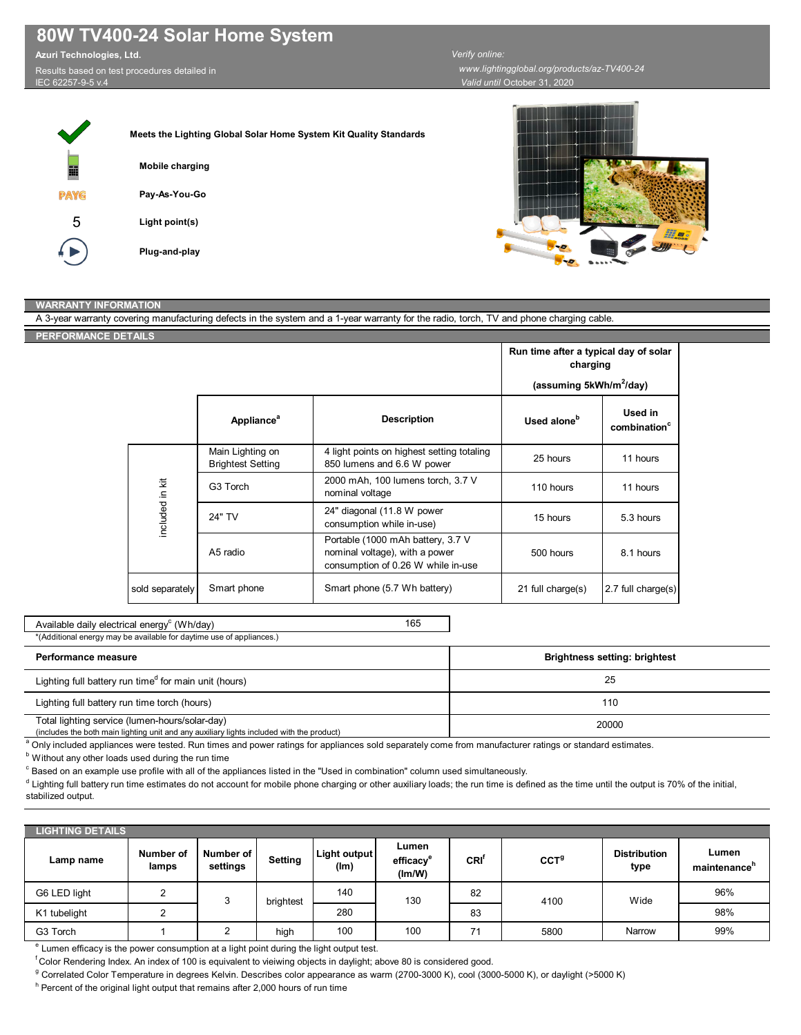## **80W TV400-24 Solar Home System**

**Azuri Technologies, Ltd.** 

Results based on test procedures detailed in IEC 62257-9-5 v.4

*Valid until* October 31, 2020  *www.lightingglobal.org/products/az-TV400-24 Verify online:* 



## **WARRANTY INFORMATION**

A 3-year warranty covering manufacturing defects in the system and a 1-year warranty for the radio, torch, TV and phone charging cable. **PERFORMANCE DETAILS**

|                 |                                                                  |                                                                                                           | Run time after a typical day of solar<br>charging<br>(assuming 5kWh/m <sup>2</sup> /day) |                                     |  |
|-----------------|------------------------------------------------------------------|-----------------------------------------------------------------------------------------------------------|------------------------------------------------------------------------------------------|-------------------------------------|--|
|                 | Appliance <sup>a</sup>                                           | <b>Description</b>                                                                                        | Used alone <sup>b</sup>                                                                  | Used in<br>combination <sup>c</sup> |  |
| included in kit | Main Lighting on<br><b>Brightest Setting</b>                     | 4 light points on highest setting totaling<br>850 lumens and 6.6 W power                                  | 25 hours                                                                                 | 11 hours                            |  |
|                 | 2000 mAh, 100 lumens torch, 3.7 V<br>G3 Torch<br>nominal voltage |                                                                                                           | 110 hours                                                                                | 11 hours                            |  |
|                 | 24" TV                                                           | 24" diagonal (11.8 W power<br>consumption while in-use)                                                   | 15 hours                                                                                 | 5.3 hours                           |  |
|                 | A5 radio                                                         | Portable (1000 mAh battery, 3.7 V<br>nominal voltage), with a power<br>consumption of 0.26 W while in-use | 500 hours                                                                                | 8.1 hours                           |  |
| sold separately | Smart phone                                                      | Smart phone (5.7 Wh battery)                                                                              | 21 full charge(s)                                                                        | 2.7 full charge(s)                  |  |

165 Available daily electrical energy<sup>c</sup> (Wh/day)

## \*(Additional energy may be available for daytime use of appliances.)

| Performance measure                                                                                                                         | <b>Brightness setting: brightest</b> |
|---------------------------------------------------------------------------------------------------------------------------------------------|--------------------------------------|
| Lighting full battery run time <sup>d</sup> for main unit (hours)                                                                           | 25                                   |
| Lighting full battery run time torch (hours)                                                                                                | 110                                  |
| Total lighting service (lumen-hours/solar-day)<br>(includes the both main lighting unit and any auxiliary lights included with the product) | 20000                                |

<sup>a</sup> Only included appliances were tested. Run times and power ratings for appliances sold separately come from manufacturer ratings or standard estimates.

 $^{\rm b}$  Without any other loads used during the run time

 $^\circ$  Based on an example use profile with all of the appliances listed in the "Used in combination" column used simultaneously.

 $^{\text{d}}$  Lighting full battery run time estimates do not account for mobile phone charging or other auxiliary loads; the run time is defined as the time until the output is 70% of the initial, stabilized output.

| <b>LIGHTING DETAILS</b> |                    |                       |           |                      |                                          |                  |                  |                             |                                   |
|-------------------------|--------------------|-----------------------|-----------|----------------------|------------------------------------------|------------------|------------------|-----------------------------|-----------------------------------|
| Lamp name               | Number of<br>lamps | Number of<br>settings | Setting   | Light output<br>(lm) | Lumen<br>efficacy <sup>e</sup><br>(lm/W) | CRI <sup>'</sup> | CCT <sup>g</sup> | <b>Distribution</b><br>type | Lumen<br>maintenance <sup>n</sup> |
| G6 LED light            |                    | 3                     | brightest | 140                  | 130                                      | 82               | 4100             | Wide                        | 96%                               |
| K1 tubelight            |                    |                       |           | 280                  |                                          | 83               |                  |                             | 98%                               |
| G3 Torch                |                    | ◠                     | high      | 100                  | 100                                      | 71               | 5800             | Narrow                      | 99%                               |

<sup>e</sup> Lumen efficacy is the power consumption at a light point during the light output test.

f Color Rendering Index. An index of 100 is equivalent to vieiwing objects in daylight; above 80 is considered good.

<sup>g</sup> Correlated Color Temperature in degrees Kelvin. Describes color appearance as warm (2700-3000 K), cool (3000-5000 K), or daylight (>5000 K)

<sup>h</sup> Percent of the original light output that remains after 2,000 hours of run time